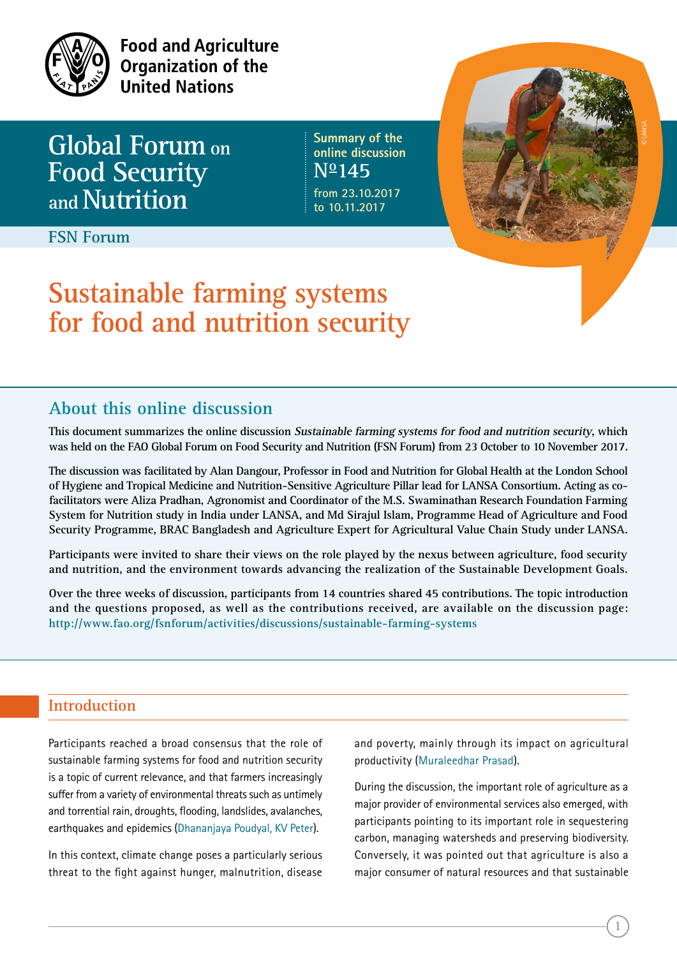

**Food and Agriculture Organization of the United Nations** 

**Global Forum on Food Security andNutrition**

**Summary of the online discussion No145 from 23.10.2017**

**to 10.11.2017**

**FSN Forum**

# **Sustainable farming systems for food and nutrition security**

# **About this online discussion**

**This document summarizes the online discussion Sustainable farming systems for food and nutrition security, which was held on the FAO Global Forum on Food Security and Nutrition (FSN Forum) from 23 October to 10 November 2017.** 

**The discussion was facilitated by Alan Dangour, Professor in Food and Nutrition for Global Health at the London School of Hygiene and Tropical Medicine and Nutrition-Sensitive Agriculture Pillar lead for LANSA Consortium. Acting as cofacilitators were Aliza Pradhan, Agronomist and Coordinator of the M.S. Swaminathan Research Foundation Farming System for Nutrition study in India under LANSA, and Md Sirajul Islam, Programme Head of Agriculture and Food Security Programme, BRAC Bangladesh and Agriculture Expert for Agricultural Value Chain Study under LANSA.**

**Participants were invited to share their views on the role played by the nexus between agriculture, food security and nutrition, and the environment towards advancing the realization of the Sustainable Development Goals.**

**Over the three weeks of discussion, participants from 14 countries shared 45 contributions. The topic introduction and the questions proposed, as well as the contributions received, are available on the discussion page: http://www.fao.org/fsnforum/activities/discussions/sustainable-farming-systems** 

## **Introduction**

Participants reached a broad consensus that the role of sustainable farming systems for food and nutrition security is a topic of current relevance, and that farmers increasingly suffer from a variety of environmental threats such as untimely and torrential rain, droughts, flooding, landslides, avalanches, earthquakes and epidemics (Dhananjaya Poudyal, KV Peter).

In this context, climate change poses a particularly serious threat to the fight against hunger, malnutrition, disease

and poverty, mainly through its impact on agricultural productivity (Muraleedhar Prasad).

During the discussion, the important role of agriculture as a major provider of environmental services also emerged, with participants pointing to its important role in sequestering carbon, managing watersheds and preserving biodiversity. Conversely, it was pointed out that agriculture is also a major consumer of natural resources and that sustainable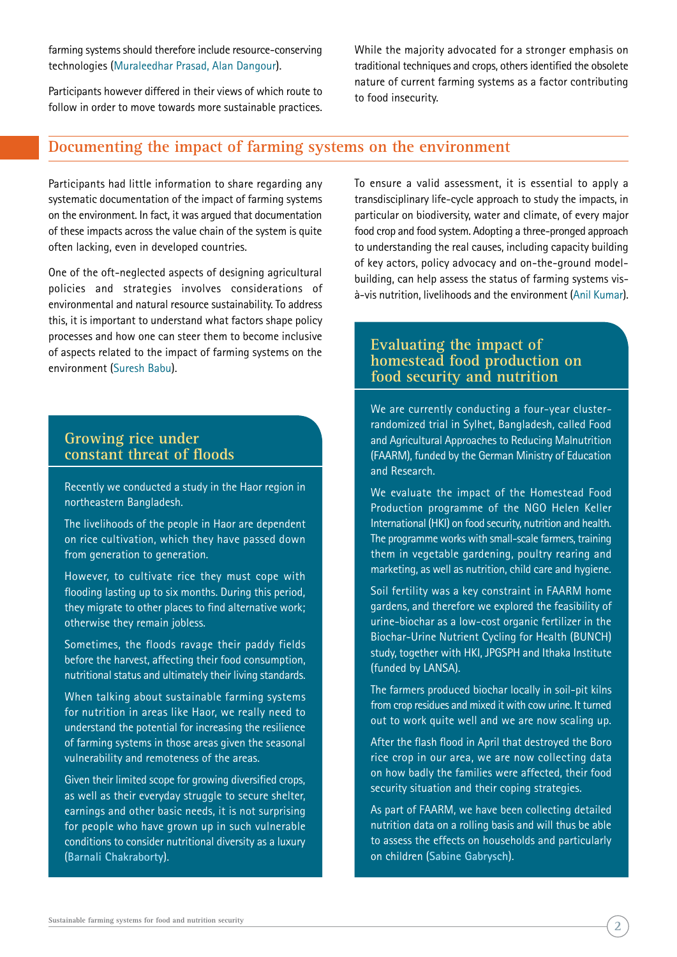farming systems should therefore include resource-conserving technologies (Muraleedhar Prasad, Alan Dangour).

Participants however differed in their views of which route to follow in order to move towards more sustainable practices. While the majority advocated for a stronger emphasis on traditional techniques and crops, others identified the obsolete nature of current farming systems as a factor contributing to food insecurity.

## **Documenting the impact of farming systems on the environment**

Participants had little information to share regarding any systematic documentation of the impact of farming systems on the environment. In fact, it was argued that documentation of these impacts across the value chain of the system is quite often lacking, even in developed countries.

One of the oft-neglected aspects of designing agricultural policies and strategies involves considerations of environmental and natural resource sustainability. To address this, it is important to understand what factors shape policy processes and how one can steer them to become inclusive of aspects related to the impact of farming systems on the environment (Suresh Babu).

## **Growing rice under constant threat of floods**

Recently we conducted a study in the Haor region in northeastern Bangladesh.

The livelihoods of the people in Haor are dependent on rice cultivation, which they have passed down from generation to generation.

However, to cultivate rice they must cope with flooding lasting up to six months. During this period, they migrate to other places to find alternative work; otherwise they remain jobless.

Sometimes, the floods ravage their paddy fields before the harvest, affecting their food consumption, nutritional status and ultimately their living standards.

When talking about sustainable farming systems for nutrition in areas like Haor, we really need to understand the potential for increasing the resilience of farming systems in those areas given the seasonal vulnerability and remoteness of the areas.

Given their limited scope for growing diversified crops, as well as their everyday struggle to secure shelter, earnings and other basic needs, it is not surprising for people who have grown up in such vulnerable conditions to consider nutritional diversity as a luxury (**Barnali Chakraborty**).

To ensure a valid assessment, it is essential to apply a transdisciplinary life-cycle approach to study the impacts, in particular on biodiversity, water and climate, of every major food crop and food system. Adopting a three-pronged approach to understanding the real causes, including capacity building of key actors, policy advocacy and on-the-ground modelbuilding, can help assess the status of farming systems visà-vis nutrition, livelihoods and the environment (Anil Kumar).

## **Evaluating the impact of homestead food production on food security and nutrition**

We are currently conducting a four-year clusterrandomized trial in Sylhet, Bangladesh, called Food and Agricultural Approaches to Reducing Malnutrition (FAARM), funded by the German Ministry of Education and Research.

We evaluate the impact of the Homestead Food Production programme of the NGO Helen Keller International (HKI) on food security, nutrition and health. The programme works with small-scale farmers, training them in vegetable gardening, poultry rearing and marketing, as well as nutrition, child care and hygiene.

Soil fertility was a key constraint in FAARM home gardens, and therefore we explored the feasibility of urine-biochar as a low-cost organic fertilizer in the Biochar-Urine Nutrient Cycling for Health (BUNCH) study, together with HKI, JPGSPH and Ithaka Institute (funded by LANSA).

The farmers produced biochar locally in soil-pit kilns from crop residues and mixed it with cow urine. It turned out to work quite well and we are now scaling up.

After the flash flood in April that destroyed the Boro rice crop in our area, we are now collecting data on how badly the families were affected, their food security situation and their coping strategies.

As part of FAARM, we have been collecting detailed nutrition data on a rolling basis and will thus be able to assess the effects on households and particularly on children (**Sabine Gabrysch**).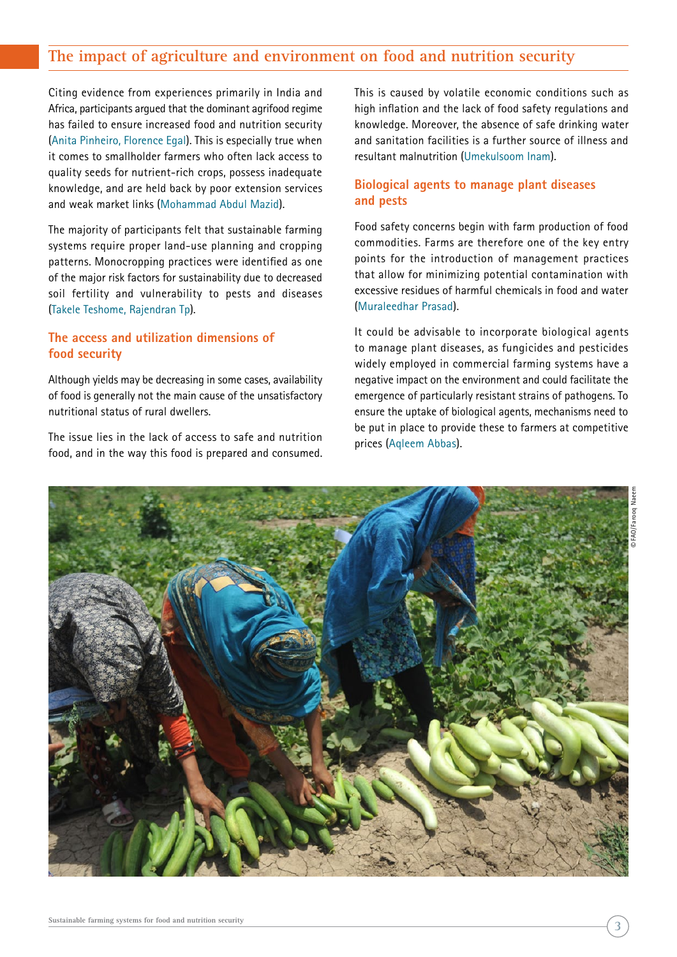# **The impact of agriculture and environment on food and nutrition security**

Citing evidence from experiences primarily in India and Africa, participants argued that the dominant agrifood regime has failed to ensure increased food and nutrition security (Anita Pinheiro, Florence Egal). This is especially true when it comes to smallholder farmers who often lack access to quality seeds for nutrient-rich crops, possess inadequate knowledge, and are held back by poor extension services and weak market links (Mohammad Abdul Mazid).

The majority of participants felt that sustainable farming systems require proper land-use planning and cropping patterns. Monocropping practices were identified as one of the major risk factors for sustainability due to decreased soil fertility and vulnerability to pests and diseases (Takele Teshome, Rajendran Tp).

#### **The access and utilization dimensions of food security**

Although yields may be decreasing in some cases, availability of food is generally not the main cause of the unsatisfactory nutritional status of rural dwellers.

The issue lies in the lack of access to safe and nutrition food, and in the way this food is prepared and consumed. This is caused by volatile economic conditions such as high inflation and the lack of food safety regulations and knowledge. Moreover, the absence of safe drinking water and sanitation facilities is a further source of illness and resultant malnutrition (Umekulsoom Inam).

#### **Biological agents to manage plant diseases and pests**

Food safety concerns begin with farm production of food commodities. Farms are therefore one of the key entry points for the introduction of management practices that allow for minimizing potential contamination with excessive residues of harmful chemicals in food and water (Muraleedhar Prasad).

It could be advisable to incorporate biological agents to manage plant diseases, as fungicides and pesticides widely employed in commercial farming systems have a negative impact on the environment and could facilitate the emergence of particularly resistant strains of pathogens. To ensure the uptake of biological agents, mechanisms need to be put in place to provide these to farmers at competitive prices (Aqleem Abbas).

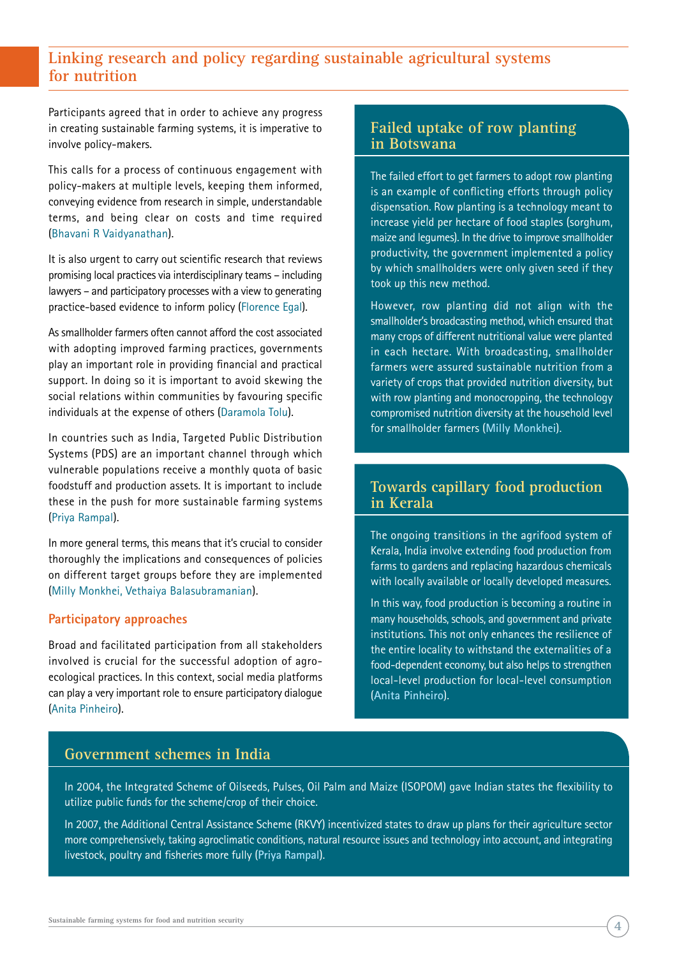# **Linking research and policy regarding sustainable agricultural systems for nutrition**

Participants agreed that in order to achieve any progress in creating sustainable farming systems, it is imperative to involve policy-makers.

This calls for a process of continuous engagement with policy-makers at multiple levels, keeping them informed, conveying evidence from research in simple, understandable terms, and being clear on costs and time required (Bhavani R Vaidyanathan).

It is also urgent to carry out scientific research that reviews promising local practices via interdisciplinary teams – including lawyers – and participatory processes with a view to generating practice-based evidence to inform policy (Florence Egal).

As smallholder farmers often cannot afford the cost associated with adopting improved farming practices, governments play an important role in providing financial and practical support. In doing so it is important to avoid skewing the social relations within communities by favouring specific individuals at the expense of others (Daramola Tolu).

In countries such as India, Targeted Public Distribution Systems (PDS) are an important channel through which vulnerable populations receive a monthly quota of basic foodstuff and production assets. It is important to include these in the push for more sustainable farming systems (Priya Rampal).

In more general terms, this means that it's crucial to consider thoroughly the implications and consequences of policies on different target groups before they are implemented (Milly Monkhei, Vethaiya Balasubramanian).

#### **Participatory approaches**

Broad and facilitated participation from all stakeholders involved is crucial for the successful adoption of agroecological practices. In this context, social media platforms can play a very important role to ensure participatory dialogue (Anita Pinheiro).

## **Failed uptake of row planting in Botswana**

The failed effort to get farmers to adopt row planting is an example of conflicting efforts through policy dispensation. Row planting is a technology meant to increase yield per hectare of food staples (sorghum, maize and legumes). In the drive to improve smallholder productivity, the government implemented a policy by which smallholders were only given seed if they took up this new method.

However, row planting did not align with the smallholder's broadcasting method, which ensured that many crops of different nutritional value were planted in each hectare. With broadcasting, smallholder farmers were assured sustainable nutrition from a variety of crops that provided nutrition diversity, but with row planting and monocropping, the technology compromised nutrition diversity at the household level for smallholder farmers (**Milly Monkhei**).

## **Towards capillary food production in Kerala**

The ongoing transitions in the agrifood system of Kerala, India involve extending food production from farms to gardens and replacing hazardous chemicals with locally available or locally developed measures.

In this way, food production is becoming a routine in many households, schools, and government and private institutions. This not only enhances the resilience of the entire locality to withstand the externalities of a food-dependent economy, but also helps to strengthen local-level production for local-level consumption (**Anita Pinheiro**).

### **Government schemes in India**

In 2004, the Integrated Scheme of Oilseeds, Pulses, Oil Palm and Maize (ISOPOM) gave Indian states the flexibility to utilize public funds for the scheme/crop of their choice.

In 2007, the Additional Central Assistance Scheme (RKVY) incentivized states to draw up plans for their agriculture sector more comprehensively, taking agroclimatic conditions, natural resource issues and technology into account, and integrating livestock, poultry and fisheries more fully (**Priya Rampal**).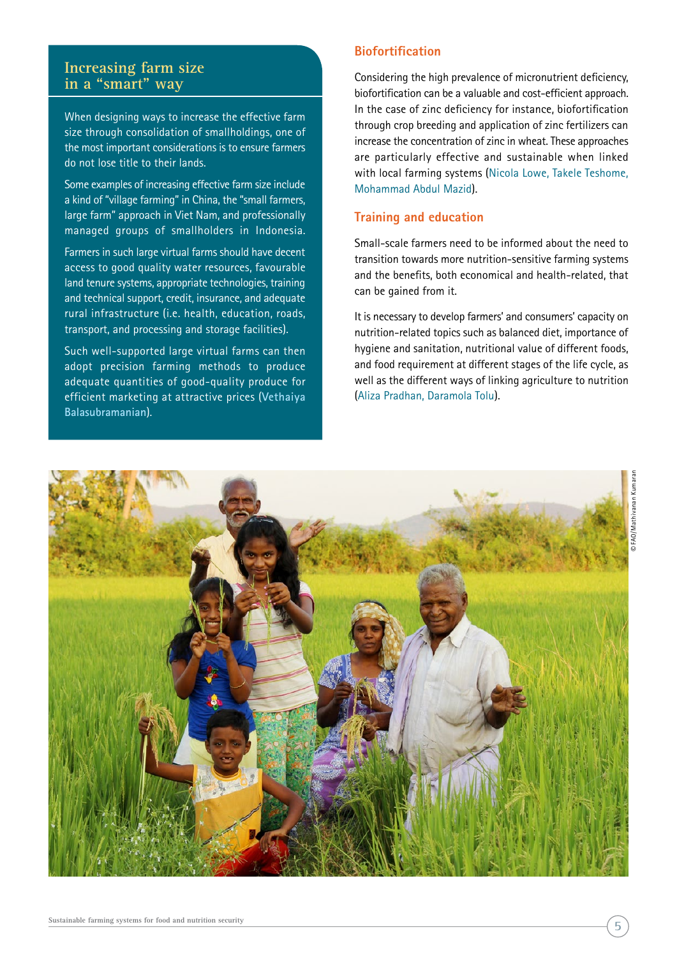### **Increasing farm size in a "smart" way**

When designing ways to increase the effective farm size through consolidation of smallholdings, one of the most important considerations is to ensure farmers do not lose title to their lands.

Some examples of increasing effective farm size include a kind of "village farming" in China, the "small farmers, large farm" approach in Viet Nam, and professionally managed groups of smallholders in Indonesia.

Farmers in such large virtual farms should have decent access to good quality water resources, favourable land tenure systems, appropriate technologies, training and technical support, credit, insurance, and adequate rural infrastructure (i.e. health, education, roads, transport, and processing and storage facilities).

Such well-supported large virtual farms can then adopt precision farming methods to produce adequate quantities of good-quality produce for efficient marketing at attractive prices (**Vethaiya Balasubramanian**).

## **Biofortification**

Considering the high prevalence of micronutrient deficiency, biofortification can be a valuable and cost-efficient approach. In the case of zinc deficiency for instance, biofortification through crop breeding and application of zinc fertilizers can increase the concentration of zinc in wheat. These approaches are particularly effective and sustainable when linked with local farming systems (Nicola Lowe, Takele Teshome, Mohammad Abdul Mazid).

#### **Training and education**

Small-scale farmers need to be informed about the need to transition towards more nutrition-sensitive farming systems and the benefits, both economical and health-related, that can be gained from it.

It is necessary to develop farmers' and consumers' capacity on nutrition-related topics such as balanced diet, importance of hygiene and sanitation, nutritional value of different foods, and food requirement at different stages of the life cycle, as well as the different ways of linking agriculture to nutrition (Aliza Pradhan, Daramola Tolu).

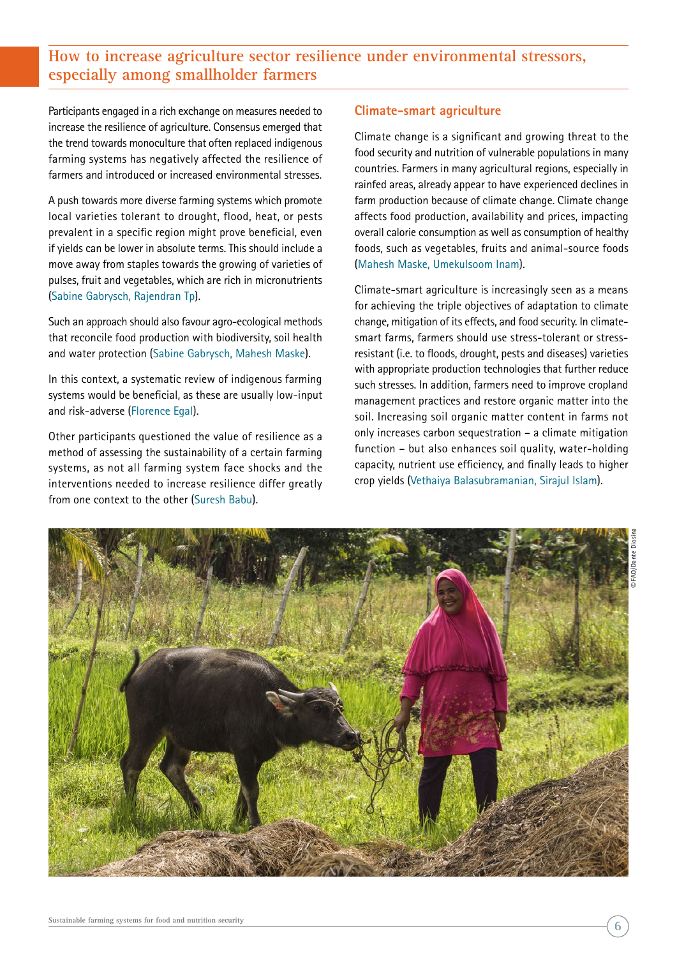# **How to increase agriculture sector resilience under environmental stressors, especially among smallholder farmers**

Participants engaged in a rich exchange on measures needed to increase the resilience of agriculture. Consensus emerged that the trend towards monoculture that often replaced indigenous farming systems has negatively affected the resilience of farmers and introduced or increased environmental stresses.

A push towards more diverse farming systems which promote local varieties tolerant to drought, flood, heat, or pests prevalent in a specific region might prove beneficial, even if yields can be lower in absolute terms. This should include a move away from staples towards the growing of varieties of pulses, fruit and vegetables, which are rich in micronutrients (Sabine Gabrysch, Rajendran Tp).

Such an approach should also favour agro-ecological methods that reconcile food production with biodiversity, soil health and water protection (Sabine Gabrysch, Mahesh Maske).

In this context, a systematic review of indigenous farming systems would be beneficial, as these are usually low-input and risk-adverse (Florence Egal).

Other participants questioned the value of resilience as a method of assessing the sustainability of a certain farming systems, as not all farming system face shocks and the interventions needed to increase resilience differ greatly from one context to the other (Suresh Babu).

#### **Climate-smart agriculture**

Climate change is a significant and growing threat to the food security and nutrition of vulnerable populations in many countries. Farmers in many agricultural regions, especially in rainfed areas, already appear to have experienced declines in farm production because of climate change. Climate change affects food production, availability and prices, impacting overall calorie consumption as well as consumption of healthy foods, such as vegetables, fruits and animal-source foods (Mahesh Maske, Umekulsoom Inam).

Climate-smart agriculture is increasingly seen as a means for achieving the triple objectives of adaptation to climate change, mitigation of its effects, and food security. In climatesmart farms, farmers should use stress-tolerant or stressresistant (i.e. to floods, drought, pests and diseases) varieties with appropriate production technologies that further reduce such stresses. In addition, farmers need to improve cropland management practices and restore organic matter into the soil. Increasing soil organic matter content in farms not only increases carbon sequestration – a climate mitigation function – but also enhances soil quality, water-holding capacity, nutrient use efficiency, and finally leads to higher crop yields (Vethaiya Balasubramanian, Sirajul Islam).

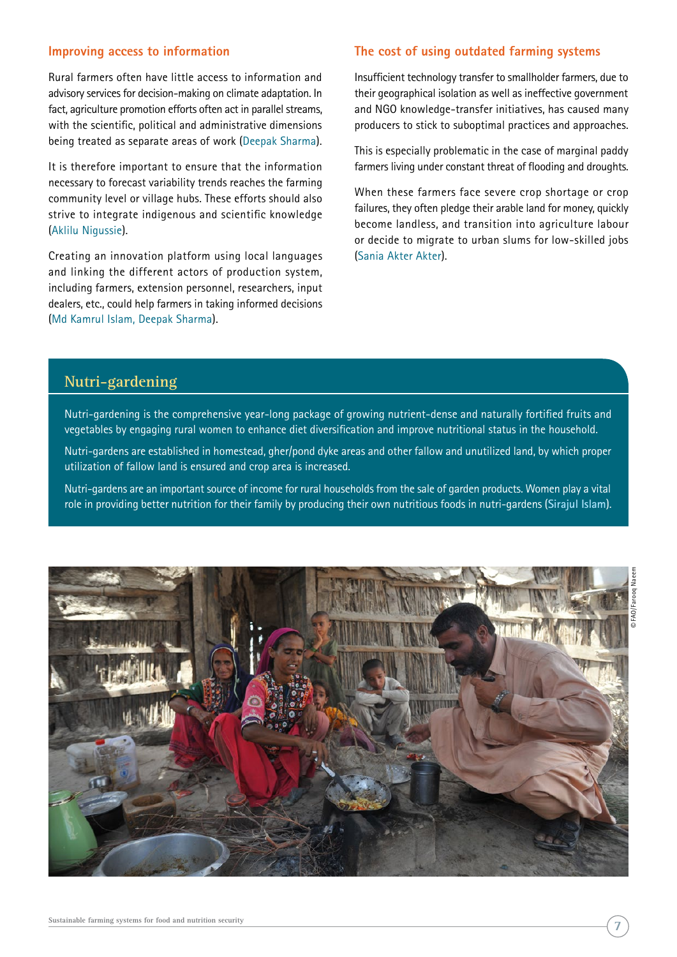#### **Improving access to information**

Rural farmers often have little access to information and advisory services for decision-making on climate adaptation. In fact, agriculture promotion efforts often act in parallel streams, with the scientific, political and administrative dimensions being treated as separate areas of work (Deepak Sharma).

It is therefore important to ensure that the information necessary to forecast variability trends reaches the farming community level or village hubs. These efforts should also strive to integrate indigenous and scientific knowledge (Aklilu Nigussie).

Creating an innovation platform using local languages and linking the different actors of production system, including farmers, extension personnel, researchers, input dealers, etc., could help farmers in taking informed decisions (Md Kamrul Islam, Deepak Sharma).

#### **The cost of using outdated farming systems**

Insufficient technology transfer to smallholder farmers, due to their geographical isolation as well as ineffective government and NGO knowledge-transfer initiatives, has caused many producers to stick to suboptimal practices and approaches.

This is especially problematic in the case of marginal paddy farmers living under constant threat of flooding and droughts.

When these farmers face severe crop shortage or crop failures, they often pledge their arable land for money, quickly become landless, and transition into agriculture labour or decide to migrate to urban slums for low-skilled jobs (Sania Akter Akter).

# **Nutri-gardening**

Nutri-gardening is the comprehensive year-long package of growing nutrient-dense and naturally fortified fruits and vegetables by engaging rural women to enhance diet diversification and improve nutritional status in the household.

Nutri-gardens are established in homestead, gher/pond dyke areas and other fallow and unutilized land, by which proper utilization of fallow land is ensured and crop area is increased.

Nutri-gardens are an important source of income for rural households from the sale of garden products. Women play a vital role in providing better nutrition for their family by producing their own nutritious foods in nutri-gardens (**Sirajul Islam**).